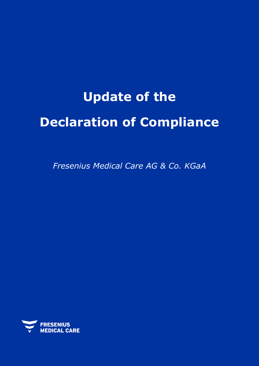# **Update of the Declaration of Compliance**

*Fresenius Medical Care AG & Co. KGaA*